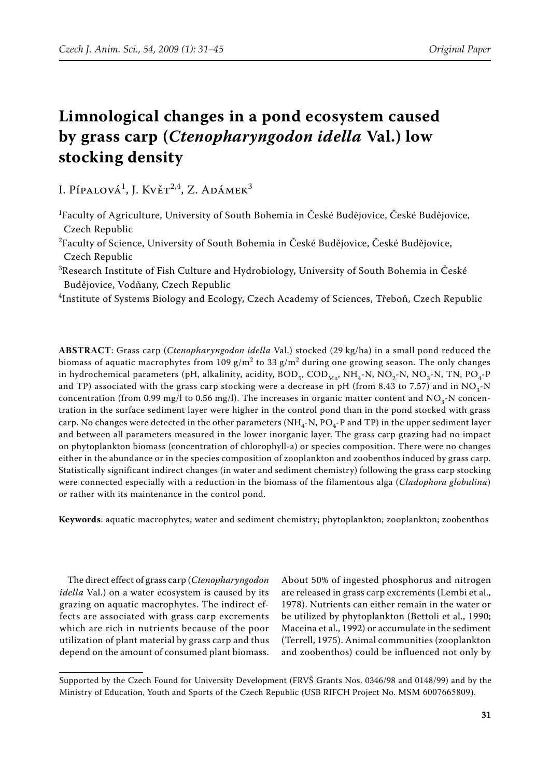# **Limnological changes in a pond ecosystem caused by grass carp (***Ctenopharyngodon idella* **Val.) low stocking density**

I. Pípalová<sup>1</sup>, J. Květ<sup>2,4</sup>, Z. Adámek<sup>3</sup>

- 1 Faculty of Agriculture, University of South Bohemia in České Budějovice, České Budějovice, Czech Republic
- 2 Faculty of Science, University of South Bohemia in České Budějovice, České Budějovice, Czech Republic
- $^3$ Research Institute of Fish Culture and Hydrobiology, University of South Bohemia in České Budějovice, Vodňany, Czech Republic
- 4 Institute of Systems Biology and Ecology, Czech Academy of Sciences, Třeboň, Czech Republic

**ABSTRACT**: Grass carp (*Ctenopharyngodon idella* Val.) stocked (29 kg/ha) in a small pond reduced the biomass of aquatic macrophytes from 109 g/m $^2$  to 33 g/m $^2$  during one growing season. The only changes in hydrochemical parameters (pH, alkalinity, acidity,  $BOD_{5}$ ,  $COD_{Mn}$ , NH<sub>4</sub>-N, NO<sub>2</sub>-N, NO<sub>3</sub>-N, TN, PO<sub>4</sub>-P and TP) associated with the grass carp stocking were a decrease in pH (from 8.43 to 7.57) and in  $NO<sub>3</sub>$ -N concentration (from 0.99 mg/l to 0.56 mg/l). The increases in organic matter content and  $NO<sub>3</sub>$ -N concentration in the surface sediment layer were higher in the control pond than in the pond stocked with grass carp. No changes were detected in the other parameters (NH<sub>4</sub>-N, PO<sub>4</sub>-P and TP) in the upper sediment layer and between all parameters measured in the lower inorganic layer. The grass carp grazing had no impact on phytoplankton biomass (concentration of chlorophyll-a) or species composition. There were no changes either in the abundance or in the species composition of zooplankton and zoobenthos induced by grass carp. Statistically significant indirect changes (in water and sediment chemistry) following the grass carp stocking were connected especially with a reduction in the biomass of the filamentous alga (*Cladophora globulina*) or rather with its maintenance in the control pond.

**Keywords**: aquatic macrophytes; water and sediment chemistry; phytoplankton; zooplankton; zoobenthos

The direct effect of grass carp (*Ctenopharyngodon idella* Val.) on a water ecosystem is caused by its grazing on aquatic macrophytes. The indirect effects are associated with grass carp excrements which are rich in nutrients because of the poor utilization of plant material by grass carp and thus depend on the amount of consumed plant biomass. About 50% of ingested phosphorus and nitrogen are released in grass carp excrements (Lembi et al., 1978). Nutrients can either remain in the water or be utilized by phytoplankton (Bettoli et al., 1990; Maceina et al., 1992) or accumulate in the sediment (Terrell, 1975). Animal communities (zooplankton and zoobenthos) could be influenced not only by

Supported by the Czech Found for University Development (FRVŠ Grants Nos. 0346/98 and 0148/99) and by the Ministry of Education, Youth and Sports of the Czech Republic (USB RIFCH Project No. MSM 6007665809).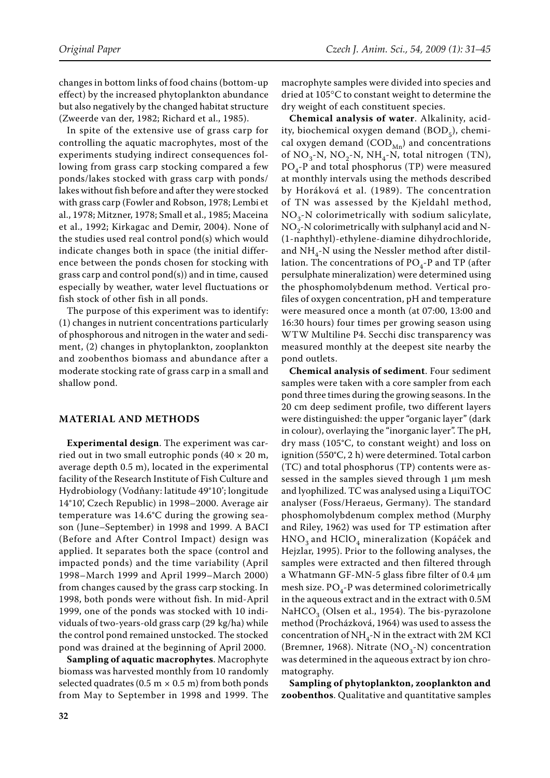changes in bottom links of food chains (bottom-up effect) by the increased phytoplankton abundance but also negatively by the changed habitat structure (Zweerde van der, 1982; Richard et al., 1985).

In spite of the extensive use of grass carp for controlling the aquatic macrophytes, most of the experiments studying indirect consequences following from grass carp stocking compared a few ponds/lakes stocked with grass carp with ponds/ lakes without fish before and after they were stocked with grass carp (Fowler and Robson, 1978; Lembi et al., 1978; Mitzner, 1978; Small et al., 1985; Maceina et al., 1992; Kirkagac and Demir, 2004). None of the studies used real control pond(s) which would indicate changes both in space (the initial difference between the ponds chosen for stocking with grass carp and control pond(s)) and in time, caused especially by weather, water level fluctuations or fish stock of other fish in all ponds.

The purpose of this experiment was to identify: (1) changes in nutrient concentrations particularly of phosphorous and nitrogen in the water and sediment, (2) changes in phytoplankton, zooplankton and zoobenthos biomass and abundance after a moderate stocking rate of grass carp in a small and shallow pond.

## **MATERIAL AND METHODS**

**Experimental design**. The experiment was carried out in two small eutrophic ponds  $(40 \times 20 \text{ m},$ average depth 0.5 m), located in the experimental facility of the Research Institute of Fish Culture and Hydrobiology (Vodňany: latitude 49°10'; longitude 14°10', Czech Republic) in 1998–2000. Average air temperature was 14.6°C during the growing season (June–September) in 1998 and 1999. A BACI (Before and After Control Impact) design was applied. It separates both the space (control and impacted ponds) and the time variability (April 1998–March 1999 and April 1999–March 2000) from changes caused by the grass carp stocking. In 1998, both ponds were without fish. In mid-April 1999, one of the ponds was stocked with 10 individuals of two-years-old grass carp (29 kg/ha) while the control pond remained unstocked. The stocked pond was drained at the beginning of April 2000.

**Sampling of aquatic macrophytes**. Macrophyte biomass was harvested monthly from 10 randomly selected quadrates (0.5 m  $\times$  0.5 m) from both ponds from May to September in 1998 and 1999. The

macrophyte samples were divided into species and dried at 105°C to constant weight to determine the dry weight of each constituent species.

**Chemical analysis of water**. Alkalinity, acidity, biochemical oxygen demand (BOD<sub>5</sub>), chemical oxygen demand  $(COD_{Mn})$  and concentrations of  $NO_3-N$ ,  $NO_2-N$ ,  $NH_4-N$ , total nitrogen (TN),  $PO<sub>4</sub>$ -P and total phosphorus (TP) were measured at monthly intervals using the methods described by Horáková et al. (1989). The concentration of TN was assessed by the Kjeldahl method,  $NO<sub>3</sub>$ -N colorimetrically with sodium salicylate,  $NO<sub>2</sub>$ -N colorimetrically with sulphanyl acid and N-(1-naphthyl)-ethylene-diamine dihydrochloride, and  $NH_{4}$ -N using the Nessler method after distillation. The concentrations of  $PO_{4}$ -P and TP (after persulphate mineralization) were determined using the phosphomolybdenum method. Vertical profiles of oxygen concentration, pH and temperature were measured once a month (at 07:00, 13:00 and 16:30 hours) four times per growing season using WTW Multiline P4. Secchi disc transparency was measured monthly at the deepest site nearby the pond outlets.

**Chemical analysis of sediment**. Four sediment samples were taken with a core sampler from each pond three times during the growing seasons. In the 20 cm deep sediment profile, two different layers were distinguished: the upper "organic layer" (dark in colour), overlaying the "inorganic layer". The pH, dry mass (105°C, to constant weight) and loss on ignition (550°C, 2 h) were determined. Total carbon (TC) and total phosphorus (TP) contents were assessed in the samples sieved through 1 µm mesh and lyophilized. TC was analysed using a LiquiTOC analyser (Foss/Heraeus, Germany). The standard phosphomolybdenum complex method (Murphy and Riley, 1962) was used for TP estimation after  $HNO<sub>3</sub>$  and  $HClO<sub>4</sub>$  mineralization (Kopáček and Hejzlar, 1995). Prior to the following analyses, the samples were extracted and then filtered through a Whatmann GF-MN-5 glass fibre filter of 0.4 µm mesh size.  $PO_{4}$ -P was determined colorimetrically in the aqueous extract and in the extract with 0.5M NaHCO<sub>2</sub> (Olsen et al., 1954). The bis-pyrazolone method (Procházková, 1964) was used to assess the concentration of  $NH_{4}$ -N in the extract with 2M KCl (Bremner, 1968). Nitrate (NO<sub>3</sub>-N) concentration was determined in the aqueous extract by ion chromatography.

**Sampling of phytoplankton, zooplankton and zoobenthos**. Qualitative and quantitative samples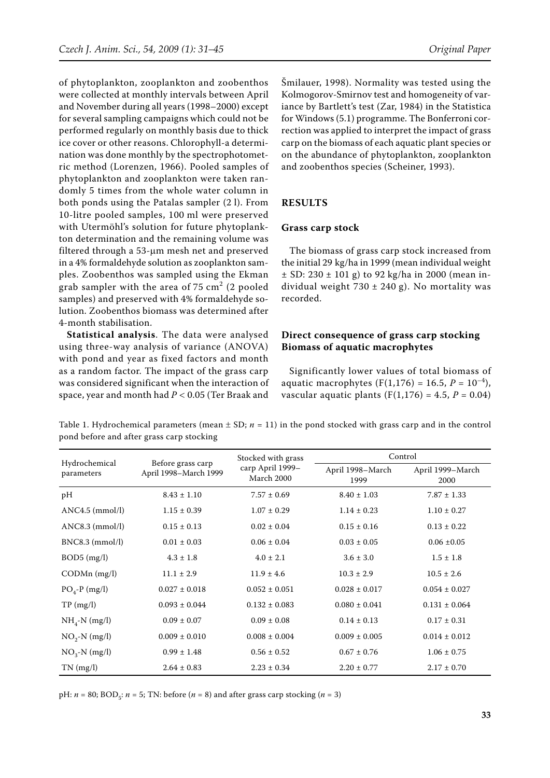of phytoplankton, zooplankton and zoobenthos were collected at monthly intervals between April and November during all years (1998–2000) except for several sampling campaigns which could not be performed regularly on monthly basis due to thick ice cover or other reasons. Chlorophyll-a determination was done monthly by the spectrophotometric method (Lorenzen, 1966). Pooled samples of phytoplankton and zooplankton were taken randomly 5 times from the whole water column in both ponds using the Patalas sampler (2 l). From 10-litre pooled samples, 100 ml were preserved with Utermöhl's solution for future phytoplankton determination and the remaining volume was filtered through a 53-µm mesh net and preserved in a 4% formaldehyde solution as zooplankton samples. Zoobenthos was sampled using the Ekman grab sampler with the area of 75  $\text{cm}^2$  (2 pooled samples) and preserved with 4% formaldehyde solution. Zoobenthos biomass was determined after 4-month stabilisation.

**Statistical analysis**. The data were analysed using three-way analysis of variance (ANOVA) with pond and year as fixed factors and month as a random factor. The impact of the grass carp was considered significant when the interaction of space, year and month had *P* < 0.05 (Ter Braak and

Šmilauer, 1998). Normality was tested using the Kolmogorov-Smirnov test and homogeneity of variance by Bartlett's test (Zar, 1984) in the Statistica for Windows (5.1) programme. The Bonferroni correction was applied to interpret the impact of grass carp on the biomass of each aquatic plant species or on the abundance of phytoplankton, zooplankton and zoobenthos species (Scheiner, 1993).

# **RESULTS**

#### **Grass carp stock**

The biomass of grass carp stock increased from the initial 29 kg/ha in 1999 (mean individual weight  $\pm$  SD: 230  $\pm$  101 g) to 92 kg/ha in 2000 (mean individual weight 730  $\pm$  240 g). No mortality was recorded.

## **Direct consequence of grass carp stocking Biomass of aquatic macrophytes**

Significantly lower values of total biomass of aquatic macrophytes  $(F(1,176) = 16.5, P = 10^{-4})$ , vascular aquatic plants  $(F(1,176) = 4.5, P = 0.04)$ 

Table 1. Hydrochemical parameters (mean  $\pm$  SD;  $n = 11$ ) in the pond stocked with grass carp and in the control pond before and after grass carp stocking

|                             |                                            | Stocked with grass             | Control                  |                          |
|-----------------------------|--------------------------------------------|--------------------------------|--------------------------|--------------------------|
| Hydrochemical<br>parameters | Before grass carp<br>April 1998–March 1999 | carp April 1999-<br>March 2000 | April 1998–March<br>1999 | April 1999-March<br>2000 |
| pH                          | $8.43 \pm 1.10$                            | $7.57 \pm 0.69$                | $8.40 \pm 1.03$          | $7.87 \pm 1.33$          |
| $ANC4.5$ (mmol/l)           | $1.15 \pm 0.39$                            | $1.07 \pm 0.29$                | $1.14 \pm 0.23$          | $1.10 \pm 0.27$          |
| $ANC8.3$ (mmol/l)           | $0.15 \pm 0.13$                            | $0.02 \pm 0.04$                | $0.15 \pm 0.16$          | $0.13 \pm 0.22$          |
| $BNC8.3$ (mmol/l)           | $0.01 \pm 0.03$                            | $0.06 \pm 0.04$                | $0.03 \pm 0.05$          | $0.06 \pm 0.05$          |
| $BOD5$ (mg/l)               | $4.3 \pm 1.8$                              | $4.0 \pm 2.1$                  | $3.6 \pm 3.0$            | $1.5 \pm 1.8$            |
| $CODMn$ (mg/l)              | $11.1 \pm 2.9$                             | $11.9 \pm 4.6$                 | $10.3 \pm 2.9$           | $10.5 \pm 2.6$           |
| $PO4-P$ (mg/l)              | $0.027 \pm 0.018$                          | $0.052 \pm 0.051$              | $0.028 \pm 0.017$        | $0.054 \pm 0.027$        |
| TP(mg/l)                    | $0.093 \pm 0.044$                          | $0.132 \pm 0.083$              | $0.080 \pm 0.041$        | $0.131 \pm 0.064$        |
| $NH_{4}$ -N (mg/l)          | $0.09 \pm 0.07$                            | $0.09 \pm 0.08$                | $0.14 \pm 0.13$          | $0.17 \pm 0.31$          |
| $NO2~N$ (mg/l)              | $0.009 \pm 0.010$                          | $0.008 \pm 0.004$              | $0.009 \pm 0.005$        | $0.014 \pm 0.012$        |
| $NO3~N$ (mg/l)              | $0.99 \pm 1.48$                            | $0.56 \pm 0.52$                | $0.67 \pm 0.76$          | $1.06 \pm 0.75$          |
| $TN$ (mg/l)                 | $2.64 \pm 0.83$                            | $2.23 \pm 0.34$                | $2.20 \pm 0.77$          | $2.17 \pm 0.70$          |

pH:  $n = 80$ ; BOD<sub> $s$ </sub>:  $n = 5$ ; TN: before ( $n = 8$ ) and after grass carp stocking ( $n = 3$ )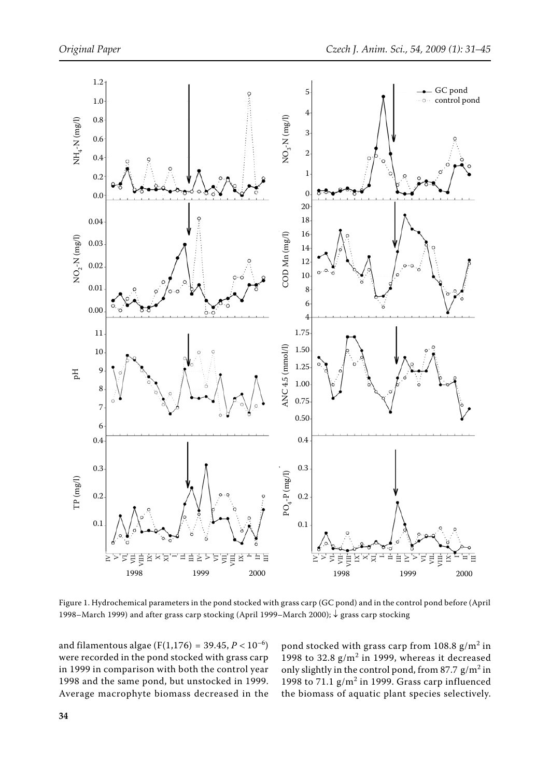

Figure 1. Hydrochemical parameters in the pond stocked with grass carp (GC pond) and in the control pond before (April 1998–March 1999) and after grass carp stocking (April 1999–March 2000); ↓ grass carp stocking

and filamentous algae (F(1,176) = 39.45,  $P < 10^{-6}$ ) were recorded in the pond stocked with grass carp in 1999 in comparison with both the control year 1998 and the same pond, but unstocked in 1999. Average macrophyte biomass decreased in the

pond stocked with grass carp from  $108.8 \text{ g/m}^2$  in 1998 to  $32.8 \text{ g/m}^2$  in 1999, whereas it decreased only slightly in the control pond, from 87.7  $g/m^2$  in 1998 to  $71.1$   $\text{g/m}^2$  in 1999. Grass carp influenced the biomass of aquatic plant species selectively.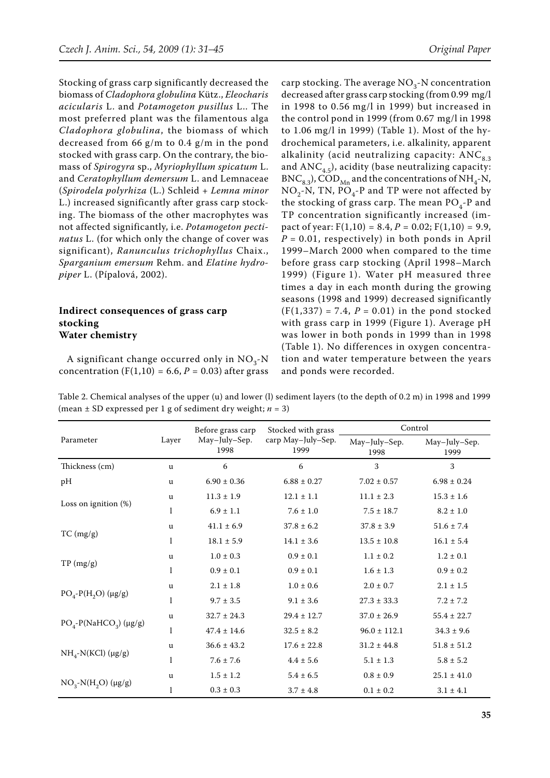Stocking of grass carp significantly decreased the biomass of *Cladophora globulina* Kütz., *Eleocharis acicularis* L. and *Potamogeton pusillus* L.. The most preferred plant was the filamentous alga *Cladophora globulina*, the biomass of which decreased from 66 g/m to 0.4 g/m in the pond stocked with grass carp. On the contrary, the biomass of *Spirogyra* sp., *Myriophyllum spicatum* L. and *Ceratophyllum demersum* L. and Lemnaceae (*Spirodela polyrhiza* (L.) Schleid + *Lemna minor* L.) increased significantly after grass carp stocking. The biomass of the other macrophytes was not affected significantly, i.e. *Potamogeton pectinatus* L. (for which only the change of cover was significant), *Ranunculus trichophyllus* Chaix., *Sparganium emersum* Rehm. and *Elatine hydropiper* L. (Pípalová, 2002).

## **Indirect consequences of grass carp stocking Water chemistry**

A significant change occurred only in  $NO<sub>2</sub>$ -N concentration  $(F(1,10) = 6.6, P = 0.03)$  after grass carp stocking. The average  $NO<sub>3</sub>$ -N concentration decreased after grass carp stocking (from 0.99 mg/l in 1998 to 0.56 mg/l in 1999) but increased in the control pond in 1999 (from 0.67 mg/l in 1998 to 1.06 mg/l in 1999) (Table 1). Most of the hydrochemical parameters, i.e. alkalinity, apparent alkalinity (acid neutralizing capacity:  $ANC_{83}$ and  $\text{ANC}_{4.5}$ ), acidity (base neutralizing capacity:  $BNC_{8.3}$ ),  $COD_{Mn}$  and the concentrations of NH<sub>4</sub>-N,  $NO<sub>2</sub>-N$ , TN,  $PO<sub>4</sub>-P$  and TP were not affected by the stocking of grass carp. The mean  $PO_{4}$ -P and TP concentration significantly increased (impact of year:  $F(1,10) = 8.4$ ,  $P = 0.02$ ;  $F(1,10) = 9.9$ ,  $P = 0.01$ , respectively) in both ponds in April 1999–March 2000 when compared to the time before grass carp stocking (April 1998–March 1999) (Figure 1). Water pH measured three times a day in each month during the growing seasons (1998 and 1999) decreased significantly  $(F(1,337) = 7.4, P = 0.01)$  in the pond stocked with grass carp in 1999 (Figure 1). Average pH was lower in both ponds in 1999 than in 1998 (Table 1). No differences in oxygen concentration and water temperature between the years and ponds were recorded.

Table 2. Chemical analyses of the upper (u) and lower (l) sediment layers (to the depth of 0.2 m) in 1998 and 1999 (mean  $\pm$  SD expressed per 1 g of sediment dry weight;  $n = 3$ )

|                                         |              | Before grass carp     | Stocked with grass         | Control               |                       |
|-----------------------------------------|--------------|-----------------------|----------------------------|-----------------------|-----------------------|
| Parameter                               | Layer        | May-July-Sep.<br>1998 | carp May-July-Sep.<br>1999 | May-July-Sep.<br>1998 | May-July-Sep.<br>1999 |
| Thickness (cm)                          | u            | 6                     | 6                          | 3                     | 3                     |
| pH                                      | u            | $6.90 \pm 0.36$       | $6.88 \pm 0.27$            | $7.02 \pm 0.57$       | $6.98 \pm 0.24$       |
|                                         | u            | $11.3 \pm 1.9$        | $12.1 \pm 1.1$             | $11.1 \pm 2.3$        | $15.3$ $\pm$ $1.6$    |
| Loss on ignition $(\%)$                 | 1            | $6.9 \pm 1.1$         | $7.6 \pm 1.0$              | $7.5 \pm 18.7$        | $8.2 \pm 1.0$         |
|                                         | u            | $41.1 \pm 6.9$        | $37.8 \pm 6.2$             | $37.8 \pm 3.9$        | $51.6 \pm 7.4$        |
| TC (mg/g)                               | 1            | $18.1 \pm 5.9$        | $14.1 \pm 3.6$             | $13.5 \pm 10.8$       | $16.1 \pm 5.4$        |
|                                         | <b>u</b>     | $1.0 \pm 0.3$         | $0.9 \pm 0.1$              | $1.1 \pm 0.2$         | $1.2 \pm 0.1$         |
| TP (mg/g)                               | $\mathbf{I}$ | $0.9 \pm 0.1$         | $0.9 \pm 0.1$              | $1.6 \pm 1.3$         | $0.9 \pm 0.2$         |
|                                         | <b>u</b>     | $2.1 \pm 1.8$         | $1.0 \pm 0.6$              | $2.0 \pm 0.7$         | $2.1 \pm 1.5$         |
| $PO_4 - P(H_2O)$ (µg/g)                 | $\mathbf{I}$ | $9.7 \pm 3.5$         | $9.1 \pm 3.6$              | $27.3 \pm 33.3$       | $7.2 \pm 7.2$         |
|                                         | u            | $32.7 \pm 24.3$       | $29.4 \pm 12.7$            | $37.0 \pm 26.9$       | $55.4 \pm 22.7$       |
| $PO_{4}$ -P(NaHCO <sub>3</sub> ) (µg/g) | $\mathbf{I}$ | $47.4 \pm 14.6$       | $32.5 \pm 8.2$             | $96.0 \pm 112.1$      | $34.3 \pm 9.6$        |
|                                         | $\mathbf u$  | $36.6 \pm 43.2$       | $17.6 \pm 22.8$            | $31.2 \pm 44.8$       | $51.8 \pm 51.2$       |
| $NH_{4}$ -N(KCl) (µg/g)                 | 1            | $7.6 \pm 7.6$         | $4.4 \pm 5.6$              | $5.1 \pm 1.3$         | $5.8 \pm 5.2$         |
|                                         | $\mathbf u$  | $1.5 \pm 1.2$         | $5.4 \pm 6.5$              | $0.8\pm0.9$           | $25.1 \pm 41.0$       |
| $NO_{3}~N(H_{2}O)$ (µg/g)               | 1            | $0.3 \pm 0.3$         | $3.7 \pm 4.8$              | $0.1 \pm 0.2$         | $3.1 \pm 4.1$         |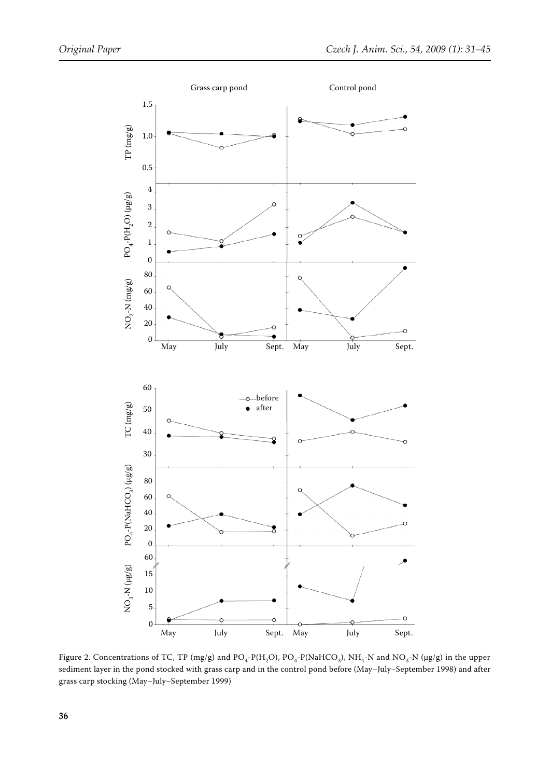

Figure 2. Concentrations of TC, TP (mg/g) and  $PO_4$ -P(H<sub>2</sub>O),  $PO_4$ -P(NaHCO<sub>3</sub>), NH<sub>4</sub>-N and NO<sub>3</sub>-N (µg/g) in the upper sediment layer in the pond stocked with grass carp and in the control pond before (May–July–September 1998) and after grass carp stocking (May–July–September 1999)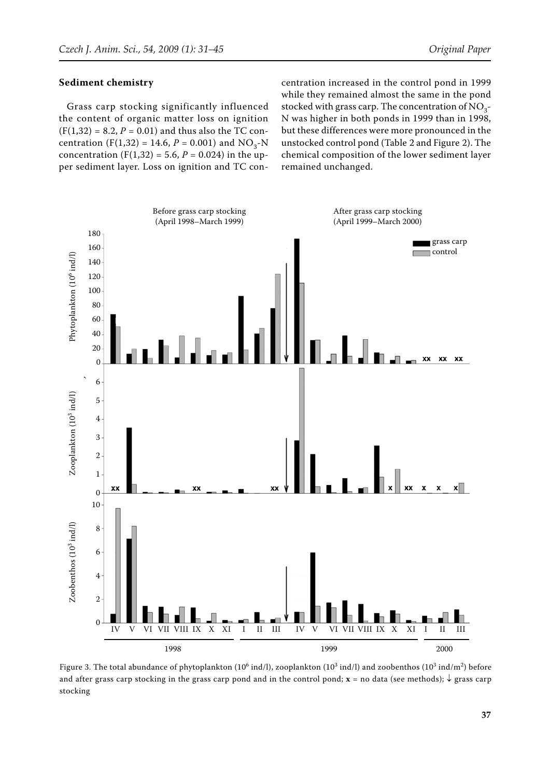#### **Sediment chemistry**

Grass carp stocking significantly influenced the content of organic matter loss on ignition  $(F(1,32) = 8.2, P = 0.01)$  and thus also the TC concentration (F(1,32) = 14.6,  $P = 0.001$ ) and NO<sub>3</sub>-N concentration (F(1,32) = 5.6,  $P = 0.024$ ) in the upper sediment layer. Loss on ignition and TC concentration increased in the control pond in 1999 while they remained almost the same in the pond stocked with grass carp. The concentration of  $NO_3$ -N was higher in both ponds in 1999 than in 1998, but these differences were more pronounced in the unstocked control pond (Table 2 and Figure 2). The chemical composition of the lower sediment layer remained unchanged.



Figure 3. The total abundance of phytoplankton (10<sup>6</sup> ind/l), zooplankton (10<sup>3</sup> ind/l) and zoobenthos (10<sup>3</sup> ind/m<sup>2</sup>) before and after grass carp stocking in the grass carp pond and in the control pond; **x** = no data (see methods); ↓ grass carp stocking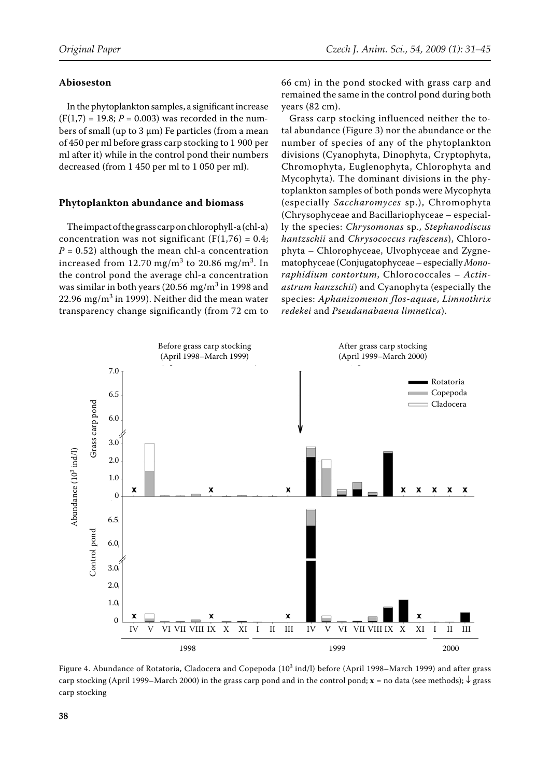## **Abioseston**

In the phytoplankton samples, a significant increase  $(F(1,7) = 19.8; P = 0.003)$  was recorded in the numbers of small (up to  $3 \mu m$ ) Fe particles (from a mean of 450 per ml before grass carp stocking to 1 900 per ml after it) while in the control pond their numbers decreased (from 1 450 per ml to 1 050 per ml).

## **Phytoplankton abundance and biomass**

The impact of the grass carp on chlorophyll-a (chl-a) concentration was not significant  $(F(1,76) = 0.4;$  $P = 0.52$ ) although the mean chl-a concentration increased from 12.70 mg/m $^3$  to 20.86 mg/m $^3$ . In the control pond the average chl-a concentration was similar in both years (20.56 mg/m $^3$  in 1998 and  $22.96 \text{ mg/m}^3$  in 1999). Neither did the mean water transparency change significantly (from 72 cm to

66 cm) in the pond stocked with grass carp and remained the same in the control pond during both years (82 cm).

Grass carp stocking influenced neither the total abundance (Figure 3) nor the abundance or the number of species of any of the phytoplankton divisions (Cyanophyta, Dinophyta, Cryptophyta, Chromophyta, Euglenophyta, Chlorophyta and Mycophyta). The dominant divisions in the phytoplankton samples of both ponds were Mycophyta (especially *Saccharomyces* sp.), Chromophyta (Chrysophyceae and Bacillariophyceae – especially the species: *Chrysomonas* sp., *Stephanodiscus hantzschii* and *Chrysococcus rufescens*), Chlorophyta – Chlorophyceae, Ulvophyceae and Zygnematophyceae (Conjugatophyceae – especially *Monoraphidium contortum*, Chlorococcales – *Actinastrum hanzschii*) and Cyanophyta (especially the species: *Aphanizomenon flos-aquae*, *Limnothrix redekei* and *Pseudanabaena limnetica*).



Figure 4. Abundance of Rotatoria, Cladocera and Copepoda (10<sup>3</sup> ind/l) before (April 1998–March 1999) and after grass carp stocking (April 1999–March 2000) in the grass carp pond and in the control pond; **x** *=* no data (see methods); ↓ grass carp stocking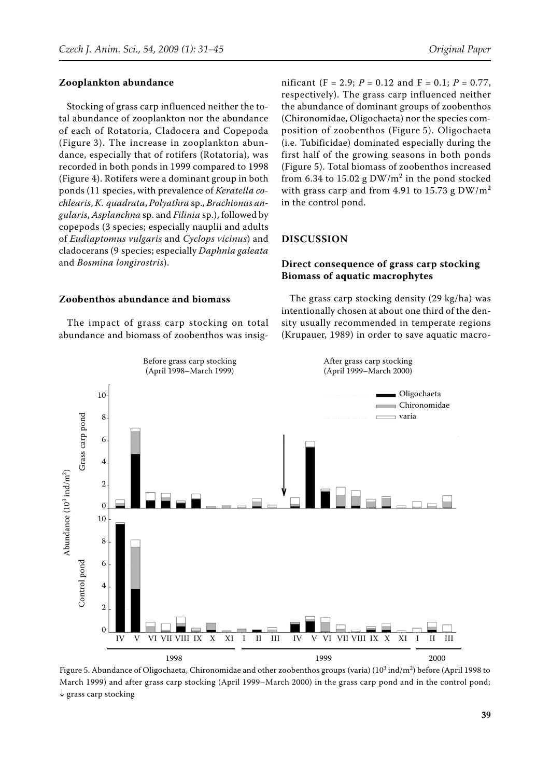#### **Zooplankton abundance**

Stocking of grass carp influenced neither the total abundance of zooplankton nor the abundance of each of Rotatoria, Cladocera and Copepoda (Figure 3). The increase in zooplankton abundance, especially that of rotifers (Rotatoria), was recorded in both ponds in 1999 compared to 1998 (Figure 4). Rotifers were a dominant group in both ponds (11 species, with prevalence of *Keratella cochlearis*, *K. quadrata*, *Polyathra* sp., *Brachionus angularis*, *Asplanchna* sp. and *Filinia* sp.), followed by copepods (3 species; especially nauplii and adults of *Eudiaptomus vulgaris* and *Cyclops vicinus*) and cladocerans (9 species; especially *Daphnia galeata* and *Bosmina longirostris*).

**Zoobenthos abundance and biomass**

The impact of grass carp stocking on total abundance and biomass of zoobenthos was insig-

nificant (F = 2.9;  $P = 0.12$  and F = 0.1;  $P = 0.77$ , respectively). The grass carp influenced neither the abundance of dominant groups of zoobenthos (Chironomidae, Oligochaeta) nor the species composition of zoobenthos (Figure 5). Oligochaeta (i.e. Tubificidae) dominated especially during the first half of the growing seasons in both ponds (Figure 5). Total biomass of zoobenthos increased from 6.34 to 15.02 g  $\text{DW/m}^2$  in the pond stocked with grass carp and from 4.91 to 15.73 g  $DW/m^2$ in the control pond.

#### **DISCUSSION**

## **Direct consequence of grass carp stocking Biomass of aquatic macrophytes**

The grass carp stocking density (29 kg/ha) was intentionally chosen at about one third of the density usually recommended in temperate regions (Krupauer, 1989) in order to save aquatic macro-



Figure 5. Abundance of Oligochaeta, Chironomidae and other zoobenthos groups (varia) (10 $^3$  ind/m $^2$ ) before (April 1998 to March 1999) and after grass carp stocking (April 1999–March 2000) in the grass carp pond and in the control pond;  $\downarrow$  grass carp stocking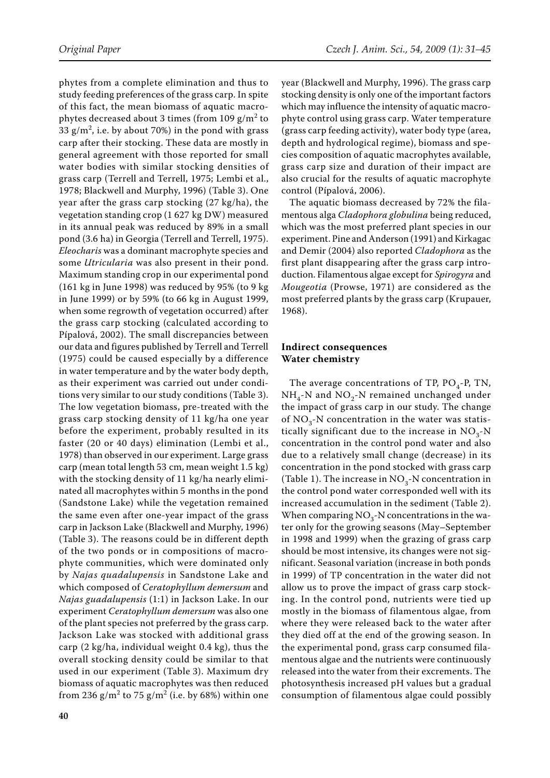phytes from a complete elimination and thus to study feeding preferences of the grass carp. In spite of this fact, the mean biomass of aquatic macrophytes decreased about 3 times (from 109 g/m<sup>2</sup> to 33  $g/m^2$ , i.e. by about 70%) in the pond with grass carp after their stocking. These data are mostly in general agreement with those reported for small water bodies with similar stocking densities of grass carp (Terrell and Terrell, 1975; Lembi et al., 1978; Blackwell and Murphy, 1996) (Table 3). One year after the grass carp stocking (27 kg/ha), the vegetation standing crop (1 627 kg DW) measured in its annual peak was reduced by 89% in a small pond (3.6 ha) in Georgia (Terrell and Terrell, 1975). *Eleocharis* was a dominant macrophyte species and some *Utricularia* was also present in their pond. Maximum standing crop in our experimental pond (161 kg in June 1998) was reduced by 95% (to 9 kg in June 1999) or by 59% (to 66 kg in August 1999, when some regrowth of vegetation occurred) after the grass carp stocking (calculated according to Pípalová, 2002). The small discrepancies between our data and figures published by Terrell and Terrell (1975) could be caused especially by a difference in water temperature and by the water body depth, as their experiment was carried out under conditions very similar to our study conditions (Table 3). The low vegetation biomass, pre-treated with the grass carp stocking density of 11 kg/ha one year before the experiment, probably resulted in its faster (20 or 40 days) elimination (Lembi et al., 1978) than observed in our experiment. Large grass carp (mean total length 53 cm, mean weight 1.5 kg) with the stocking density of 11 kg/ha nearly eliminated all macrophytes within 5 months in the pond (Sandstone Lake) while the vegetation remained the same even after one-year impact of the grass carp in Jackson Lake (Blackwell and Murphy, 1996) (Table 3). The reasons could be in different depth of the two ponds or in compositions of macrophyte communities, which were dominated only by *Najas quadalupensis* in Sandstone Lake and which composed of *Ceratophyllum demersum* and *Najas guadalupensis* (1:1) in Jackson Lake. In our experiment *Ceratophyllum demersum* was also one of the plant species not preferred by the grass carp. Jackson Lake was stocked with additional grass carp (2 kg/ha, individual weight 0.4 kg), thus the overall stocking density could be similar to that used in our experiment (Table 3). Maximum dry biomass of aquatic macrophytes was then reduced from 236 g/m<sup>2</sup> to 75 g/m<sup>2</sup> (i.e. by 68%) within one year (Blackwell and Murphy, 1996). The grass carp stocking density is only one of the important factors which may influence the intensity of aquatic macrophyte control using grass carp. Water temperature (grass carp feeding activity), water body type (area, depth and hydrological regime), biomass and species composition of aquatic macrophytes available, grass carp size and duration of their impact are also crucial for the results of aquatic macrophyte control (Pípalová, 2006).

The aquatic biomass decreased by 72% the filamentous alga *Cladophora globulina* being reduced, which was the most preferred plant species in our experiment. Pine and Anderson (1991) and Kirkagac and Demir (2004) also reported *Cladophora* as the first plant disappearing after the grass carp introduction. Filamentous algae except for *Spirogyra* and *Mougeotia* (Prowse, 1971) are considered as the most preferred plants by the grass carp (Krupauer, 1968).

## **Indirect consequences Water chemistry**

The average concentrations of TP,  $PO_{4}$ -P, TN,  $NH_{4}$ -N and NO<sub>2</sub>-N remained unchanged under the impact of grass carp in our study. The change of  $NO<sub>3</sub>$ -N concentration in the water was statistically significant due to the increase in  $NO<sub>3</sub>$ -N concentration in the control pond water and also due to a relatively small change (decrease) in its concentration in the pond stocked with grass carp (Table 1). The increase in  $NO<sub>3</sub>$ -N concentration in the control pond water corresponded well with its increased accumulation in the sediment (Table 2). When comparing  $NO<sub>3</sub>$ -N concentrations in the water only for the growing seasons (May–September in 1998 and 1999) when the grazing of grass carp should be most intensive, its changes were not significant. Seasonal variation (increase in both ponds in 1999) of TP concentration in the water did not allow us to prove the impact of grass carp stocking. In the control pond, nutrients were tied up mostly in the biomass of filamentous algae, from where they were released back to the water after they died off at the end of the growing season. In the experimental pond, grass carp consumed filamentous algae and the nutrients were continuously released into the water from their excrements. The photosynthesis increased pH values but a gradual consumption of filamentous algae could possibly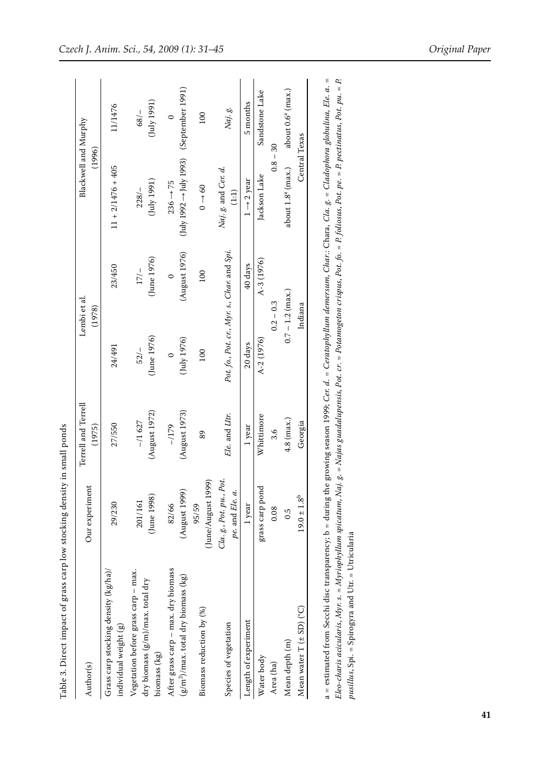| Author(s)                                                                               | Our experiment                                    | Terrell and Terrell<br>(1975) |                         | Lembi et al.<br>(1978)                      | Blackwell and Murphy<br>(1996)                                                       |                               |
|-----------------------------------------------------------------------------------------|---------------------------------------------------|-------------------------------|-------------------------|---------------------------------------------|--------------------------------------------------------------------------------------|-------------------------------|
| Grass carp stocking density (kg/ha)/<br>individual weight (g)                           | 29/230                                            | 27/550                        | 24/491                  | 23/450                                      | $11 + 2/1476 + 405$                                                                  | 11/1476                       |
| Vegetation before grass carp - max.<br>dry biomass (g/m)/max. total dry<br>biomass (kg) | (June 1998)<br>201/161                            | (August 1972)<br>$-11627$     | (June 1976)<br>52/      | $\frac{5}{10}$ (June 1976)<br>$17/-$        | $(\text{July 1991})$<br>$228/-$                                                      | (July 1991)<br>68/            |
| After grass carp - max. dry biomass                                                     | 82/66                                             | $-1179$                       | $\circ$                 | $\circ$                                     | $236 \rightarrow 75$                                                                 | $\circ$                       |
| $(g/m^2)$ /max. total dry biomass (kg)                                                  | (August 1999                                      | (August 1973)                 | $(\mathrm{July}\,1976)$ | (August 1976)                               | $(\mathrm{July\ 1992}\rightarrow\mathrm{July\ 1993})\quad(\mathrm{September\ 1991})$ |                               |
| Biomass reduction by (%)                                                                | (June/August 1999)<br>95/59                       | 89                            | 100                     | 100                                         | $0 \rightarrow 60$                                                                   | 100                           |
| Species of vegetation                                                                   | Cla.g., Pot.pu., Pot.<br>$pe$ . and $Ele$ . $a$ . | Ele. and Utr.                 |                         | Pot. fo., Pot. cr., Myr. s., Char. and Spi. | Naj. g. and Cer. d.<br>(1:1)                                                         | Naj. g.                       |
| Length of experiment                                                                    | 1 year                                            | 1 year                        | 20 days                 | 40 days                                     | $1 \rightarrow 2$ year                                                               | 5 months                      |
| Water body                                                                              | grass carp pond                                   | Whittimore                    | A-2 (1976)              | $A-3(1976)$                                 | Jackson Lake                                                                         | Sandstone Lake                |
| Area (ha)                                                                               | 0.08                                              | 3.6                           |                         | $0.2 - 0.3$                                 | $0.8 - 30$                                                                           |                               |
| Mean depth (m)                                                                          | 0.5                                               | $4.8$ (max.)                  | $0.7 - 1.2$ (max.)      |                                             | about $1.8^{\circ}$ (max.)                                                           | about 0.6 <sup>a</sup> (max.) |
| Mean water $T (± SD)$ (°C)                                                              | $19.0 \pm 1.8^{\mathrm{b}}$                       | Georgia                       |                         | Indiana                                     | Central Texas                                                                        |                               |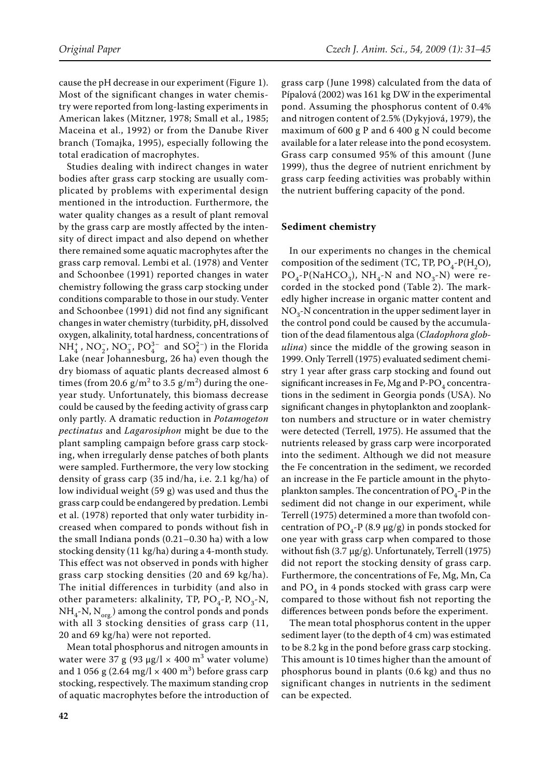cause the pH decrease in our experiment (Figure 1). Most of the significant changes in water chemistry were reported from long-lasting experiments in American lakes (Mitzner, 1978; Small et al., 1985; Maceina et al., 1992) or from the Danube River branch (Tomajka, 1995), especially following the total eradication of macrophytes.

Studies dealing with indirect changes in water bodies after grass carp stocking are usually complicated by problems with experimental design mentioned in the introduction. Furthermore, the water quality changes as a result of plant removal by the grass carp are mostly affected by the intensity of direct impact and also depend on whether there remained some aquatic macrophytes after the grass carp removal. Lembi et al. (1978) and Venter and Schoonbee (1991) reported changes in water chemistry following the grass carp stocking under conditions comparable to those in our study. Venter and Schoonbee (1991) did not find any significant changes in water chemistry (turbidity, pH, dissolved oxygen, alkalinity, total hardness, concentrations of  $NH_4^*$ ,  $NO_2^-$ ,  $NO_3^-$ ,  $PO_4^{3-}$  and  $SO_4^{2-}$ ) in the Florida Lake (near Johannesburg, 26 ha) even though the dry biomass of aquatic plants decreased almost 6 times (from 20.6  $g/m^2$  to 3.5  $g/m^2$ ) during the oneyear study. Unfortunately, this biomass decrease could be caused by the feeding activity of grass carp only partly. A dramatic reduction in *Potamogeton pectinatus* and *Lagarosiphon* might be due to the plant sampling campaign before grass carp stocking, when irregularly dense patches of both plants were sampled. Furthermore, the very low stocking density of grass carp (35 ind/ha, i.e. 2.1 kg/ha) of low individual weight (59 g) was used and thus the grass carp could be endangered by predation. Lembi et al. (1978) reported that only water turbidity increased when compared to ponds without fish in the small Indiana ponds (0.21–0.30 ha) with a low stocking density (11 kg/ha) during a 4-month study. This effect was not observed in ponds with higher grass carp stocking densities (20 and 69 kg/ha). The initial differences in turbidity (and also in other parameters: alkalinity, TP,  $PO_{4}$ -P,  $NO_{3}$ -N,  $NH_{4}$ -N, N<sub>org.</sub>) among the control ponds and ponds with all 3 stocking densities of grass carp (11, 20 and 69 kg/ha) were not reported.

Mean total phosphorus and nitrogen amounts in water were 37 g (93 μg/l × 400 m<sup>3</sup> water volume) and 1 056 g (2.64 mg/l  $\times$  400 m<sup>3</sup>) before grass carp stocking, respectively. The maximum standing crop of aquatic macrophytes before the introduction of

grass carp (June 1998) calculated from the data of Pípalová (2002) was 161 kg DW in the experimental pond. Assuming the phosphorus content of 0.4% and nitrogen content of 2.5% (Dykyjová, 1979), the maximum of 600 g P and 6 400 g N could become available for a later release into the pond ecosystem. Grass carp consumed 95% of this amount (June 1999), thus the degree of nutrient enrichment by grass carp feeding activities was probably within the nutrient buffering capacity of the pond.

#### **Sediment chemistry**

In our experiments no changes in the chemical composition of the sediment (TC, TP,  $PO<sub>4</sub>$ -P(H<sub>2</sub>O),  $PO_4$ -P(NaHCO<sub>3</sub>), NH<sub>4</sub>-N and NO<sub>3</sub>-N) were recorded in the stocked pond (Table 2). The markedly higher increase in organic matter content and  $NO<sub>3</sub>$ -N concentration in the upper sediment layer in the control pond could be caused by the accumulation of the dead filamentous alga (*Cladophora globulina*) since the middle of the growing season in 1999. Only Terrell (1975) evaluated sediment chemistry 1 year after grass carp stocking and found out significant increases in Fe, Mg and  $P-PO<sub>4</sub>$  concentrations in the sediment in Georgia ponds (USA). No significant changes in phytoplankton and zooplankton numbers and structure or in water chemistry were detected (Terrell, 1975). He assumed that the nutrients released by grass carp were incorporated into the sediment. Although we did not measure the Fe concentration in the sediment, we recorded an increase in the Fe particle amount in the phytoplankton samples. The concentration of  $PO_{4}$ -P in the sediment did not change in our experiment, while Terrell (1975) determined a more than twofold concentration of  $PO_4$ -P (8.9 µg/g) in ponds stocked for one year with grass carp when compared to those without fish (3.7 μg/g). Unfortunately, Terrell (1975) did not report the stocking density of grass carp. Furthermore, the concentrations of Fe, Mg, Mn, Ca and  $PO_{4}$  in 4 ponds stocked with grass carp were compared to those without fish not reporting the differences between ponds before the experiment.

The mean total phosphorus content in the upper sediment layer (to the depth of 4 cm) was estimated to be 8.2 kg in the pond before grass carp stocking. This amount is 10 times higher than the amount of phosphorus bound in plants (0.6 kg) and thus no significant changes in nutrients in the sediment can be expected.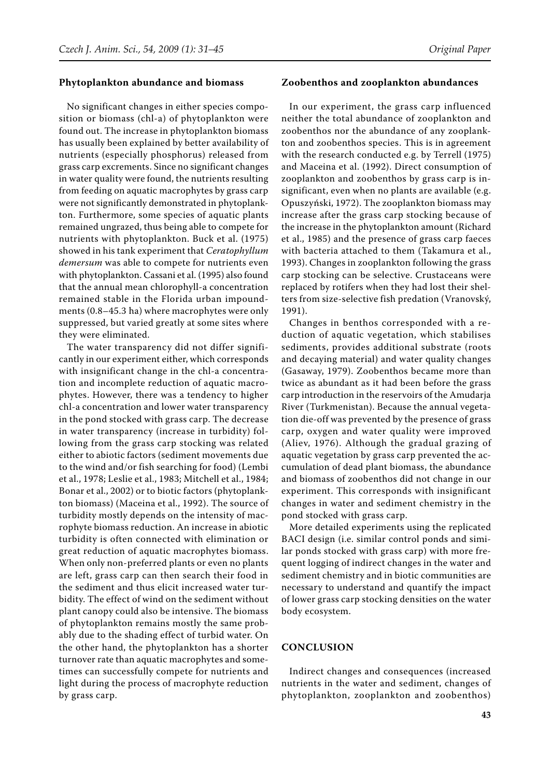#### **Phytoplankton abundance and biomass**

No significant changes in either species composition or biomass (chl-a) of phytoplankton were found out. The increase in phytoplankton biomass has usually been explained by better availability of nutrients (especially phosphorus) released from grass carp excrements. Since no significant changes in water quality were found, the nutrients resulting from feeding on aquatic macrophytes by grass carp were not significantly demonstrated in phytoplankton. Furthermore, some species of aquatic plants remained ungrazed, thus being able to compete for nutrients with phytoplankton. Buck et al. (1975) showed in his tank experiment that *Ceratophyllum demersum* was able to compete for nutrients even with phytoplankton. Cassani et al. (1995) also found that the annual mean chlorophyll-a concentration remained stable in the Florida urban impoundments (0.8–45.3 ha) where macrophytes were only suppressed, but varied greatly at some sites where they were eliminated.

The water transparency did not differ significantly in our experiment either, which corresponds with insignificant change in the chl-a concentration and incomplete reduction of aquatic macrophytes. However, there was a tendency to higher chl-a concentration and lower water transparency in the pond stocked with grass carp. The decrease in water transparency (increase in turbidity) following from the grass carp stocking was related either to abiotic factors (sediment movements due to the wind and/or fish searching for food) (Lembi et al., 1978; Leslie et al., 1983; Mitchell et al., 1984; Bonar et al., 2002) or to biotic factors (phytoplankton biomass) (Maceina et al., 1992). The source of turbidity mostly depends on the intensity of macrophyte biomass reduction. An increase in abiotic turbidity is often connected with elimination or great reduction of aquatic macrophytes biomass. When only non-preferred plants or even no plants are left, grass carp can then search their food in the sediment and thus elicit increased water turbidity. The effect of wind on the sediment without plant canopy could also be intensive. The biomass of phytoplankton remains mostly the same probably due to the shading effect of turbid water. On the other hand, the phytoplankton has a shorter turnover rate than aquatic macrophytes and sometimes can successfully compete for nutrients and light during the process of macrophyte reduction by grass carp.

#### **Zoobenthos and zooplankton abundances**

In our experiment, the grass carp influenced neither the total abundance of zooplankton and zoobenthos nor the abundance of any zooplankton and zoobenthos species. This is in agreement with the research conducted e.g. by Terrell (1975) and Maceina et al. (1992). Direct consumption of zooplankton and zoobenthos by grass carp is insignificant, even when no plants are available (e.g. Opuszyński, 1972). The zooplankton biomass may increase after the grass carp stocking because of the increase in the phytoplankton amount (Richard et al., 1985) and the presence of grass carp faeces with bacteria attached to them (Takamura et al., 1993). Changes in zooplankton following the grass carp stocking can be selective. Crustaceans were replaced by rotifers when they had lost their shelters from size-selective fish predation (Vranovský, 1991).

Changes in benthos corresponded with a reduction of aquatic vegetation, which stabilises sediments, provides additional substrate (roots and decaying material) and water quality changes (Gasaway, 1979). Zoobenthos became more than twice as abundant as it had been before the grass carp introduction in the reservoirs of the Amudarja River (Turkmenistan). Because the annual vegetation die-off was prevented by the presence of grass carp, oxygen and water quality were improved (Aliev, 1976). Although the gradual grazing of aquatic vegetation by grass carp prevented the accumulation of dead plant biomass, the abundance and biomass of zoobenthos did not change in our experiment. This corresponds with insignificant changes in water and sediment chemistry in the pond stocked with grass carp.

More detailed experiments using the replicated BACI design (i.e. similar control ponds and similar ponds stocked with grass carp) with more frequent logging of indirect changes in the water and sediment chemistry and in biotic communities are necessary to understand and quantify the impact of lower grass carp stocking densities on the water body ecosystem.

## **CONCLUSION**

Indirect changes and consequences (increased nutrients in the water and sediment, changes of phytoplankton, zooplankton and zoobenthos)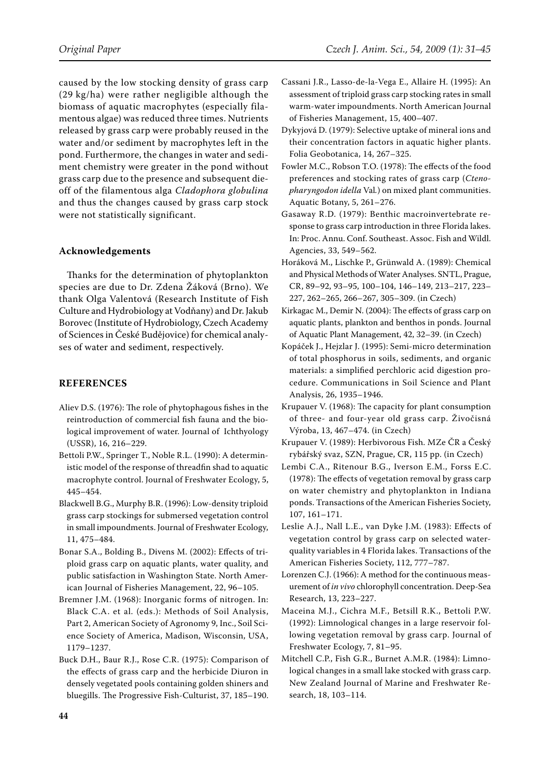caused by the low stocking density of grass carp (29 kg/ha) were rather negligible although the biomass of aquatic macrophytes (especially filamentous algae) was reduced three times. Nutrients released by grass carp were probably reused in the water and/or sediment by macrophytes left in the pond. Furthermore, the changes in water and sediment chemistry were greater in the pond without grass carp due to the presence and subsequent dieoff of the filamentous alga *Cladophora globulina* and thus the changes caused by grass carp stock were not statistically significant.

# **Acknowledgements**

Thanks for the determination of phytoplankton species are due to Dr. Zdena Žáková (Brno). We thank Olga Valentová (Research Institute of Fish Culture and Hydrobiology at Vodňany) and Dr. Jakub Borovec (Institute of Hydrobiology, Czech Academy of Sciences in České Budějovice) for chemical analyses of water and sediment, respectively.

## **REFERENCES**

- Aliev D.S. (1976): The role of phytophagous fishes in the reintroduction of commercial fish fauna and the biological improvement of water. Journal of Ichthyology (USSR), 16, 216–229.
- Bettoli P.W., Springer T., Noble R.L. (1990): A deterministic model of the response of threadfin shad to aquatic macrophyte control. Journal of Freshwater Ecology, 5, 445–454.
- Blackwell B.G., Murphy B.R. (1996): Low-density triploid grass carp stockings for submersed vegetation control in small impoundments. Journal of Freshwater Ecology, 11, 475–484.
- Bonar S.A., Bolding B., Divens M. (2002): Effects of triploid grass carp on aquatic plants, water quality, and public satisfaction in Washington State. North American Journal of Fisheries Management, 22, 96–105.
- Bremner J.M. (1968): Inorganic forms of nitrogen. In: Black C.A. et al. (eds.): Methods of Soil Analysis, Part 2, American Society of Agronomy 9, Inc., Soil Science Society of America, Madison, Wisconsin, USA, 1179–1237.
- Buck D.H., Baur R.J., Rose C.R. (1975): Comparison of the effects of grass carp and the herbicide Diuron in densely vegetated pools containing golden shiners and bluegills. The Progressive Fish-Culturist, 37, 185–190.
- Cassani J.R., Lasso-de-la-Vega E., Allaire H. (1995): An assessment of triploid grass carp stocking rates in small warm-water impoundments. North American Journal of Fisheries Management, 15, 400–407.
- Dykyjová D. (1979): Selective uptake of mineral ions and their concentration factors in aquatic higher plants. Folia Geobotanica, 14, 267–325.
- Fowler M.C., Robson T.O. (1978): The effects of the food preferences and stocking rates of grass carp (*Ctenopharyngodon idella* Val*.*) on mixed plant communities. Aquatic Botany, 5, 261–276.
- Gasaway R.D. (1979): Benthic macroinvertebrate response to grass carp introduction in three Florida lakes. In: Proc. Annu. Conf. Southeast. Assoc. Fish and Wildl. Agencies, 33, 549–562.
- Horáková M., Lischke P., Grünwald A. (1989): Chemical and physical Methods of Water Analyses. SNTL, Prague, CR, 89–92, 93–95, 100–104, 146–149, 213–217, 223– 227, 262–265, 266–267, 305–309. (in Czech)
- Kirkagac M., Demir N. (2004): The effects of grass carp on aquatic plants, plankton and benthos in ponds. Journal of Aquatic Plant Management, 42, 32–39. (in Czech)
- Kopáček J., Hejzlar J. (1995): Semi-micro determination of total phosphorus in soils, sediments, and organic materials: a simplified perchloric acid digestion procedure. Communications in Soil Science and Plant Analysis, 26, 1935–1946.
- Krupauer V. (1968): The capacity for plant consumption of three- and four-year old grass carp. Živočisná Výroba, 13, 467–474. (in Czech)
- Krupauer V. (1989): Herbivorous Fish. MZe ČR a Český rybářský svaz, SZN, Prague, CR, 115 pp. (in Czech)
- Lembi C.A., Ritenour B.G., Iverson E.M., Forss E.C. (1978): The effects of vegetation removal by grass carp on water chemistry and phytoplankton in Indiana ponds. Transactions of the American Fisheries Society, 107, 161–171.
- Leslie A.J., Nall L.E., van Dyke J.M. (1983): Effects of vegetation control by grass carp on selected waterquality variables in 4 Florida lakes. Transactions of the American Fisheries Society, 112, 777–787.
- Lorenzen C.J. (1966): A method for the continuous measurement of *in vivo* chlorophyll concentration. Deep-Sea Research, 13, 223–227.
- Maceina M.J., Cichra M.F., Betsill R.K., Bettoli P.W. (1992): Limnological changes in a large reservoir following vegetation removal by grass carp. Journal of Freshwater Ecology, 7, 81–95.
- Mitchell C.P., Fish G.R., Burnet A.M.R. (1984): Limnological changes in a small lake stocked with grass carp. New Zealand Journal of Marine and Freshwater Research, 18, 103–114.